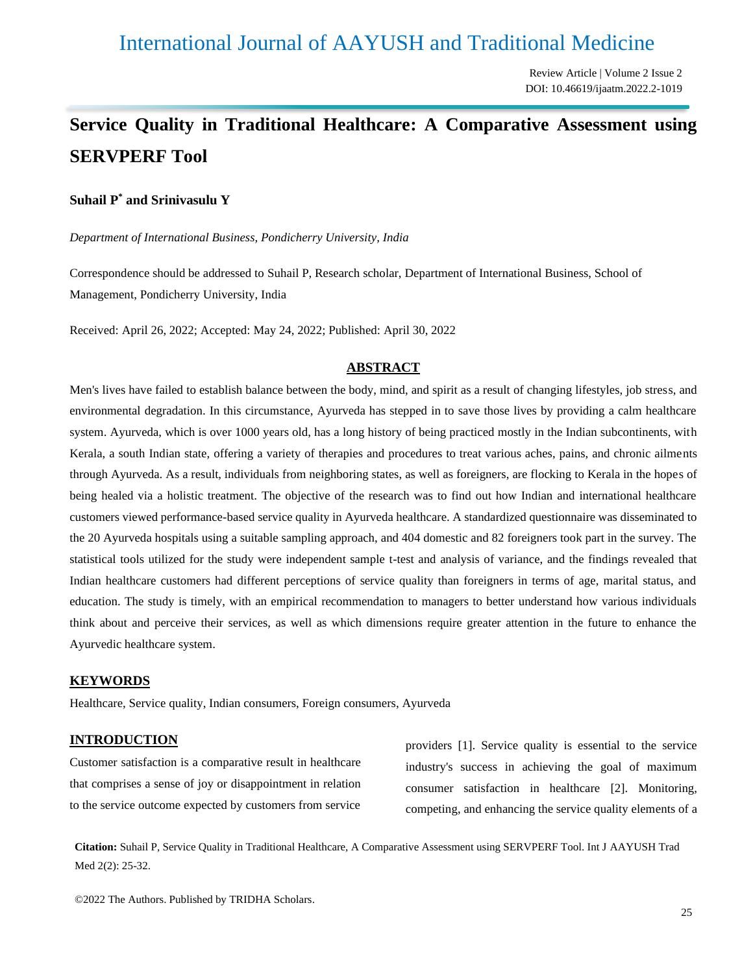# International Journal of AAYUSH and Traditional Medicine

Review Article | Volume 2 Issue 2 DOI: 10.46619/ijaatm.2022.2-1019

# **Service Quality in Traditional Healthcare: A Comparative Assessment using SERVPERF Tool**

#### **Suhail P\* and Srinivasulu Y**

*Department of International Business, Pondicherry University, India*

Correspondence should be addressed to Suhail P, Research scholar, Department of International Business, School of Management, Pondicherry University, India

Received: April 26, 2022; Accepted: May 24, 2022; Published: April 30, 2022

#### **ABSTRACT**

Men's lives have failed to establish balance between the body, mind, and spirit as a result of changing lifestyles, job stress, and environmental degradation. In this circumstance, Ayurveda has stepped in to save those lives by providing a calm healthcare system. Ayurveda, which is over 1000 years old, has a long history of being practiced mostly in the Indian subcontinents, with Kerala, a south Indian state, offering a variety of therapies and procedures to treat various aches, pains, and chronic ailments through Ayurveda. As a result, individuals from neighboring states, as well as foreigners, are flocking to Kerala in the hopes of being healed via a holistic treatment. The objective of the research was to find out how Indian and international healthcare customers viewed performance-based service quality in Ayurveda healthcare. A standardized questionnaire was disseminated to the 20 Ayurveda hospitals using a suitable sampling approach, and 404 domestic and 82 foreigners took part in the survey. The statistical tools utilized for the study were independent sample t-test and analysis of variance, and the findings revealed that Indian healthcare customers had different perceptions of service quality than foreigners in terms of age, marital status, and education. The study is timely, with an empirical recommendation to managers to better understand how various individuals think about and perceive their services, as well as which dimensions require greater attention in the future to enhance the Ayurvedic healthcare system.

#### **KEYWORDS**

Healthcare, Service quality, Indian consumers, Foreign consumers, Ayurveda

#### **INTRODUCTION**

Customer satisfaction is a comparative result in healthcare that comprises a sense of joy or disappointment in relation to the service outcome expected by customers from service providers [1]. Service quality is essential to the service industry's success in achieving the goal of maximum consumer satisfaction in healthcare [2]. Monitoring, competing, and enhancing the service quality elements of a

**Citation:** Suhail P, Service Quality in Traditional Healthcare, A Comparative Assessment using SERVPERF Tool. Int J AAYUSH Trad Med 2(2): 25-32.

©2022 The Authors. Published by TRIDHA Scholars.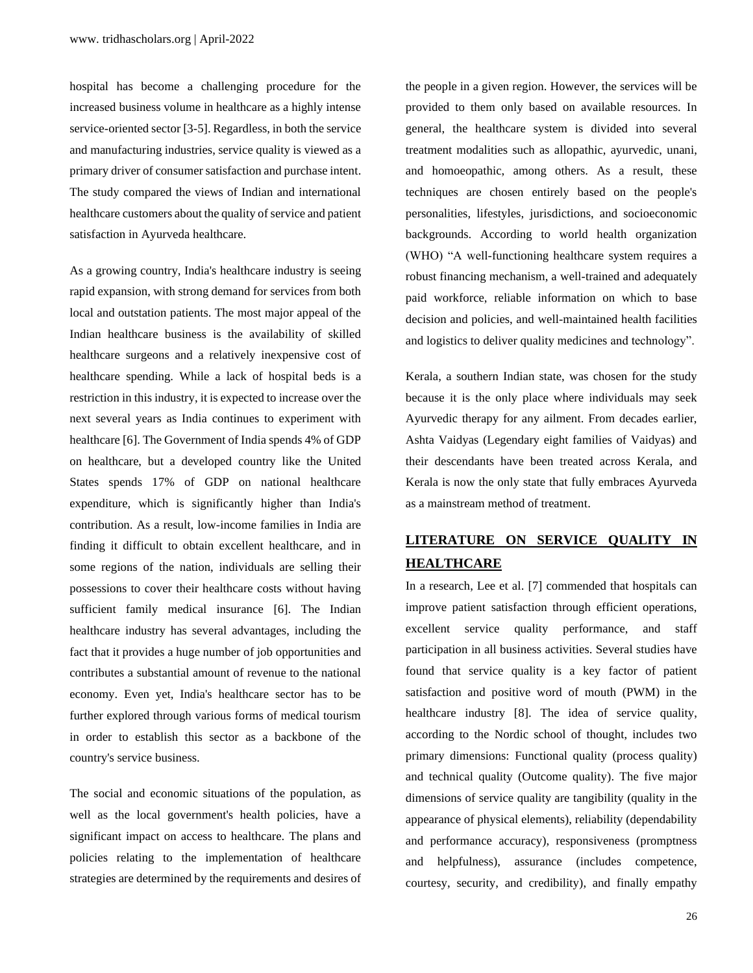hospital has become a challenging procedure for the increased business volume in healthcare as a highly intense service-oriented sector [3-5]. Regardless, in both the service and manufacturing industries, service quality is viewed as a primary driver of consumer satisfaction and purchase intent. The study compared the views of Indian and international healthcare customers about the quality of service and patient satisfaction in Ayurveda healthcare.

As a growing country, India's healthcare industry is seeing rapid expansion, with strong demand for services from both local and outstation patients. The most major appeal of the Indian healthcare business is the availability of skilled healthcare surgeons and a relatively inexpensive cost of healthcare spending. While a lack of hospital beds is a restriction in this industry, it is expected to increase over the next several years as India continues to experiment with healthcare [6]. The Government of India spends 4% of GDP on healthcare, but a developed country like the United States spends 17% of GDP on national healthcare expenditure, which is significantly higher than India's contribution. As a result, low-income families in India are finding it difficult to obtain excellent healthcare, and in some regions of the nation, individuals are selling their possessions to cover their healthcare costs without having sufficient family medical insurance [6]. The Indian healthcare industry has several advantages, including the fact that it provides a huge number of job opportunities and contributes a substantial amount of revenue to the national economy. Even yet, India's healthcare sector has to be further explored through various forms of medical tourism in order to establish this sector as a backbone of the country's service business.

The social and economic situations of the population, as well as the local government's health policies, have a significant impact on access to healthcare. The plans and policies relating to the implementation of healthcare strategies are determined by the requirements and desires of

the people in a given region. However, the services will be provided to them only based on available resources. In general, the healthcare system is divided into several treatment modalities such as allopathic, ayurvedic, unani, and homoeopathic, among others. As a result, these techniques are chosen entirely based on the people's personalities, lifestyles, jurisdictions, and socioeconomic backgrounds. According to world health organization (WHO) "A well-functioning healthcare system requires a robust financing mechanism, a well-trained and adequately paid workforce, reliable information on which to base decision and policies, and well-maintained health facilities and logistics to deliver quality medicines and technology".

Kerala, a southern Indian state, was chosen for the study because it is the only place where individuals may seek Ayurvedic therapy for any ailment. From decades earlier, Ashta Vaidyas (Legendary eight families of Vaidyas) and their descendants have been treated across Kerala, and Kerala is now the only state that fully embraces Ayurveda as a mainstream method of treatment.

## **LITERATURE ON SERVICE QUALITY IN HEALTHCARE**

In a research, Lee et al. [7] commended that hospitals can improve patient satisfaction through efficient operations, excellent service quality performance, and staff participation in all business activities. Several studies have found that service quality is a key factor of patient satisfaction and positive word of mouth (PWM) in the healthcare industry [8]. The idea of service quality, according to the Nordic school of thought, includes two primary dimensions: Functional quality (process quality) and technical quality (Outcome quality). The five major dimensions of service quality are tangibility (quality in the appearance of physical elements), reliability (dependability and performance accuracy), responsiveness (promptness and helpfulness), assurance (includes competence, courtesy, security, and credibility), and finally empathy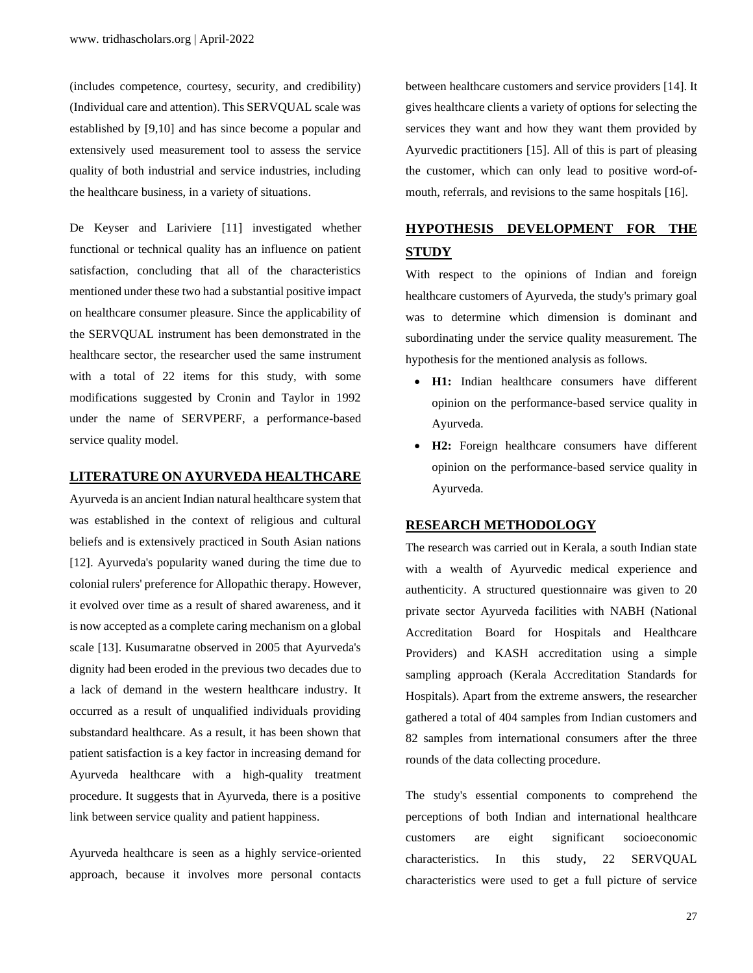(includes competence, courtesy, security, and credibility) (Individual care and attention). This SERVQUAL scale was established by [9,10] and has since become a popular and extensively used measurement tool to assess the service quality of both industrial and service industries, including the healthcare business, in a variety of situations.

De Keyser and Lariviere [11] investigated whether functional or technical quality has an influence on patient satisfaction, concluding that all of the characteristics mentioned under these two had a substantial positive impact on healthcare consumer pleasure. Since the applicability of the SERVQUAL instrument has been demonstrated in the healthcare sector, the researcher used the same instrument with a total of 22 items for this study, with some modifications suggested by Cronin and Taylor in 1992 under the name of SERVPERF, a performance-based service quality model.

#### **LITERATURE ON AYURVEDA HEALTHCARE**

Ayurveda is an ancient Indian natural healthcare system that was established in the context of religious and cultural beliefs and is extensively practiced in South Asian nations [12]. Ayurveda's popularity waned during the time due to colonial rulers' preference for Allopathic therapy. However, it evolved over time as a result of shared awareness, and it is now accepted as a complete caring mechanism on a global scale [13]. Kusumaratne observed in 2005 that Ayurveda's dignity had been eroded in the previous two decades due to a lack of demand in the western healthcare industry. It occurred as a result of unqualified individuals providing substandard healthcare. As a result, it has been shown that patient satisfaction is a key factor in increasing demand for Ayurveda healthcare with a high-quality treatment procedure. It suggests that in Ayurveda, there is a positive link between service quality and patient happiness.

Ayurveda healthcare is seen as a highly service-oriented approach, because it involves more personal contacts

between healthcare customers and service providers [14]. It gives healthcare clients a variety of options for selecting the services they want and how they want them provided by Ayurvedic practitioners [15]. All of this is part of pleasing the customer, which can only lead to positive word-ofmouth, referrals, and revisions to the same hospitals [16].

# **HYPOTHESIS DEVELOPMENT FOR THE STUDY**

With respect to the opinions of Indian and foreign healthcare customers of Ayurveda, the study's primary goal was to determine which dimension is dominant and subordinating under the service quality measurement. The hypothesis for the mentioned analysis as follows.

- **H1:** Indian healthcare consumers have different opinion on the performance-based service quality in Ayurveda.
- **H2:** Foreign healthcare consumers have different opinion on the performance-based service quality in Ayurveda.

#### **RESEARCH METHODOLOGY**

The research was carried out in Kerala, a south Indian state with a wealth of Ayurvedic medical experience and authenticity. A structured questionnaire was given to 20 private sector Ayurveda facilities with NABH (National Accreditation Board for Hospitals and Healthcare Providers) and KASH accreditation using a simple sampling approach (Kerala Accreditation Standards for Hospitals). Apart from the extreme answers, the researcher gathered a total of 404 samples from Indian customers and 82 samples from international consumers after the three rounds of the data collecting procedure.

The study's essential components to comprehend the perceptions of both Indian and international healthcare customers are eight significant socioeconomic characteristics. In this study, 22 SERVQUAL characteristics were used to get a full picture of service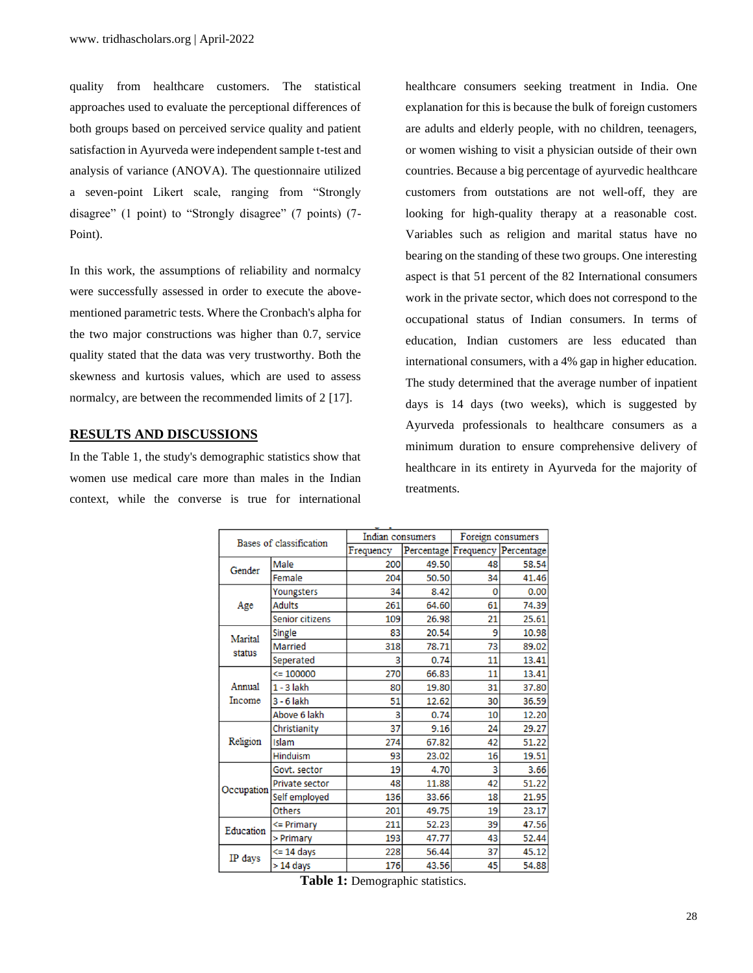quality from healthcare customers. The statistical approaches used to evaluate the perceptional differences of both groups based on perceived service quality and patient satisfaction in Ayurveda were independent sample t-test and analysis of variance (ANOVA). The questionnaire utilized a seven-point Likert scale, ranging from "Strongly disagree" (1 point) to "Strongly disagree" (7 points) (7- Point).

In this work, the assumptions of reliability and normalcy were successfully assessed in order to execute the abovementioned parametric tests. Where the Cronbach's alpha for the two major constructions was higher than 0.7, service quality stated that the data was very trustworthy. Both the skewness and kurtosis values, which are used to assess normalcy, are between the recommended limits of 2 [17].

#### **RESULTS AND DISCUSSIONS**

In the Table 1, the study's demographic statistics show that women use medical care more than males in the Indian context, while the converse is true for international healthcare consumers seeking treatment in India. One explanation for this is because the bulk of foreign customers are adults and elderly people, with no children, teenagers, or women wishing to visit a physician outside of their own countries. Because a big percentage of ayurvedic healthcare customers from outstations are not well-off, they are looking for high-quality therapy at a reasonable cost. Variables such as religion and marital status have no bearing on the standing of these two groups. One interesting aspect is that 51 percent of the 82 International consumers work in the private sector, which does not correspond to the occupational status of Indian consumers. In terms of education, Indian customers are less educated than international consumers, with a 4% gap in higher education. The study determined that the average number of inpatient days is 14 days (two weeks), which is suggested by Ayurveda professionals to healthcare consumers as a minimum duration to ensure comprehensive delivery of healthcare in its entirety in Ayurveda for the majority of treatments.

|            |                                                                                                                                                                                                                                                                                                                                                                                                                                                                           | Indian consumers |       | Foreign consumers                                                                                                       |       |  |
|------------|---------------------------------------------------------------------------------------------------------------------------------------------------------------------------------------------------------------------------------------------------------------------------------------------------------------------------------------------------------------------------------------------------------------------------------------------------------------------------|------------------|-------|-------------------------------------------------------------------------------------------------------------------------|-------|--|
|            |                                                                                                                                                                                                                                                                                                                                                                                                                                                                           | Frequency        |       | 48<br>34<br>0<br>61<br>21<br>9<br>73<br>11<br>11<br>31<br>30<br>10<br>24<br>42<br>16<br>3<br>42<br>18<br>19<br>39<br>43 |       |  |
|            | Male                                                                                                                                                                                                                                                                                                                                                                                                                                                                      | 200              | 49.50 | 37                                                                                                                      | 58.54 |  |
|            | Female                                                                                                                                                                                                                                                                                                                                                                                                                                                                    | 204              | 50.50 |                                                                                                                         | 41.46 |  |
|            | Youngsters                                                                                                                                                                                                                                                                                                                                                                                                                                                                | 34               | 8.42  |                                                                                                                         | 0.00  |  |
| Age        | <b>Adults</b>                                                                                                                                                                                                                                                                                                                                                                                                                                                             | 261              | 64.60 |                                                                                                                         | 74.39 |  |
|            | Senior citizens                                                                                                                                                                                                                                                                                                                                                                                                                                                           | 109              |       |                                                                                                                         | 25.61 |  |
|            | Single                                                                                                                                                                                                                                                                                                                                                                                                                                                                    | 83               | 20.54 |                                                                                                                         | 10.98 |  |
|            | <b>Married</b>                                                                                                                                                                                                                                                                                                                                                                                                                                                            | 318              | 78.71 |                                                                                                                         | 89.02 |  |
|            | Seperated                                                                                                                                                                                                                                                                                                                                                                                                                                                                 | 3                | 0.74  |                                                                                                                         | 13.41 |  |
|            | $\leq 100000$                                                                                                                                                                                                                                                                                                                                                                                                                                                             | 270              | 66.83 |                                                                                                                         | 13.41 |  |
| Annual     | $1 - 3$ lakh                                                                                                                                                                                                                                                                                                                                                                                                                                                              | 80               | 19.80 |                                                                                                                         | 37.80 |  |
| Income     | $3 - 6$ lakh                                                                                                                                                                                                                                                                                                                                                                                                                                                              | 51               | 12.62 |                                                                                                                         | 36.59 |  |
|            | Bases of classification<br>Gender<br>26.98<br>Marital<br>status<br>Above 6 lakh<br>3<br>0.74<br>37<br>9.16<br>Christianity<br>Islam<br>274<br>67.82<br>Hinduism<br>93<br>23.02<br>4.70<br>Govt. sector<br>19<br>48<br>11.88<br>Private sector<br>33.66<br>Self employed<br>136<br><b>Others</b><br>49.75<br>201<br>211<br>52.23<br>$\leq$ Primary<br>Education<br>193<br>47.77<br>> Primary<br>228<br>56.44<br><= 14 days<br>IP days<br>45<br>$> 14$ days<br>176<br>43.56 | 12.20            |       |                                                                                                                         |       |  |
|            |                                                                                                                                                                                                                                                                                                                                                                                                                                                                           |                  |       |                                                                                                                         | 29.27 |  |
| Religion   | Percentage Frequency Percentage                                                                                                                                                                                                                                                                                                                                                                                                                                           | 51.22            |       |                                                                                                                         |       |  |
|            |                                                                                                                                                                                                                                                                                                                                                                                                                                                                           |                  |       |                                                                                                                         | 19.51 |  |
|            |                                                                                                                                                                                                                                                                                                                                                                                                                                                                           |                  |       |                                                                                                                         | 3.66  |  |
| Occupation |                                                                                                                                                                                                                                                                                                                                                                                                                                                                           | 51.22            |       |                                                                                                                         |       |  |
|            |                                                                                                                                                                                                                                                                                                                                                                                                                                                                           |                  |       |                                                                                                                         | 21.95 |  |
|            |                                                                                                                                                                                                                                                                                                                                                                                                                                                                           |                  |       |                                                                                                                         | 23.17 |  |
|            |                                                                                                                                                                                                                                                                                                                                                                                                                                                                           |                  |       |                                                                                                                         | 47.56 |  |
|            |                                                                                                                                                                                                                                                                                                                                                                                                                                                                           |                  |       |                                                                                                                         | 52.44 |  |
|            |                                                                                                                                                                                                                                                                                                                                                                                                                                                                           |                  |       |                                                                                                                         | 45.12 |  |
|            |                                                                                                                                                                                                                                                                                                                                                                                                                                                                           |                  |       |                                                                                                                         | 54.88 |  |

**Table 1:** Demographic statistics.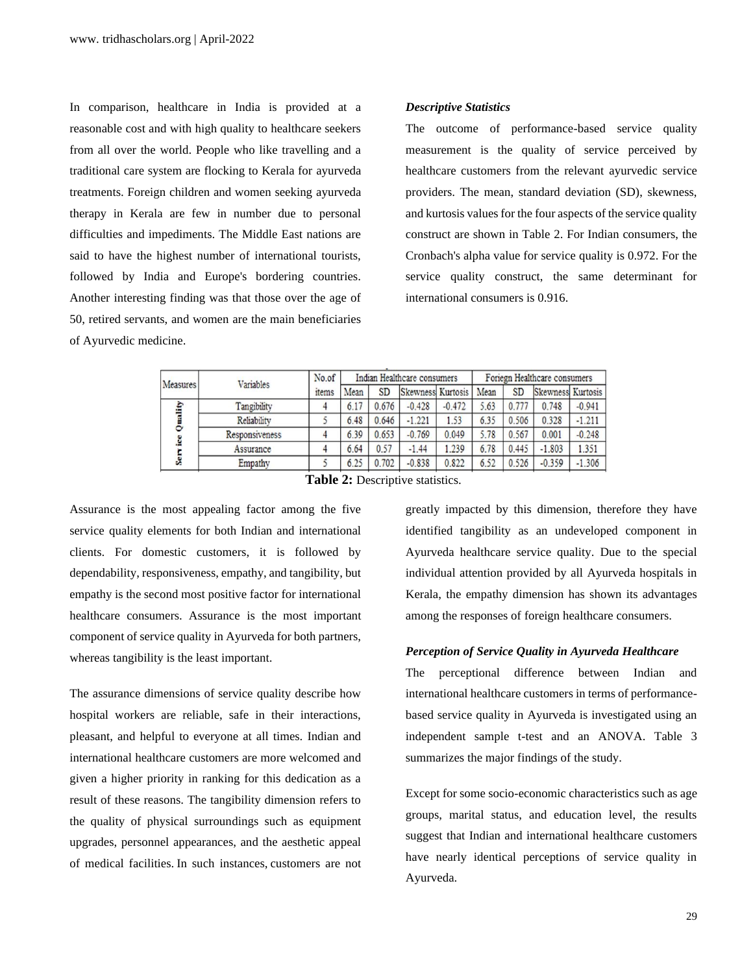In comparison, healthcare in India is provided at a reasonable cost and with high quality to healthcare seekers from all over the world. People who like travelling and a traditional care system are flocking to Kerala for ayurveda treatments. Foreign children and women seeking ayurveda therapy in Kerala are few in number due to personal difficulties and impediments. The Middle East nations are said to have the highest number of international tourists, followed by India and Europe's bordering countries. Another interesting finding was that those over the age of 50, retired servants, and women are the main beneficiaries of Ayurvedic medicine.

#### *Descriptive Statistics*

The outcome of performance-based service quality measurement is the quality of service perceived by healthcare customers from the relevant ayurvedic service providers. The mean, standard deviation (SD), skewness, and kurtosis values for the four aspects of the service quality construct are shown in Table 2. For Indian consumers, the Cronbach's alpha value for service quality is 0.972. For the service quality construct, the same determinant for international consumers is 0.916.

| Measures           | Variables      | No.of             |      |           | Indian Healthcare consumers |          | Foriegn Healthcare consumers |           |                   |          |
|--------------------|----------------|-------------------|------|-----------|-----------------------------|----------|------------------------------|-----------|-------------------|----------|
|                    |                | <sub>1</sub> tems | Mean | <b>SD</b> | Skewness Kurtosis           |          | Mean                         | <b>SD</b> | Skewness Kurtosis |          |
| uality<br>ē<br>Ser | Tangibility    |                   | 6.17 | 0.676     | $-0.428$                    | $-0.472$ | 5.63                         | 0.777     | 0.748             | $-0.941$ |
|                    | Reliability    |                   | 6.48 | 0.646     | $-1.221$                    | 1.53     | 6.35                         | 0.506     | 0.328             | $-1.211$ |
|                    | Responsiveness |                   | 6.39 | 0.653     | $-0.769$                    | 0.049    | 5.78                         | 0.567     | 0.001             | $-0.248$ |
|                    | Assurance      |                   | 6.64 | 0.57      | $-1.44$                     | 1.239    | 6.78                         | 0.445     | $-1.803$          | 1.351    |
|                    | Empathy        |                   | 6.25 | 0.702     | $-0.838$                    | 0.822    | 6.52                         | 0.526     | $-0.359$          | $-1.306$ |
|                    |                | -- - -            |      |           |                             |          |                              |           |                   |          |

**Table 2:** Descriptive statistics.

Assurance is the most appealing factor among the five service quality elements for both Indian and international clients. For domestic customers, it is followed by dependability, responsiveness, empathy, and tangibility, but empathy is the second most positive factor for international healthcare consumers. Assurance is the most important component of service quality in Ayurveda for both partners, whereas tangibility is the least important.

The assurance dimensions of service quality describe how hospital workers are reliable, safe in their interactions, pleasant, and helpful to everyone at all times. Indian and international healthcare customers are more welcomed and given a higher priority in ranking for this dedication as a result of these reasons. The tangibility dimension refers to the quality of physical surroundings such as equipment upgrades, personnel appearances, and the aesthetic appeal of medical facilities. In such instances, customers are not

greatly impacted by this dimension, therefore they have identified tangibility as an undeveloped component in Ayurveda healthcare service quality. Due to the special individual attention provided by all Ayurveda hospitals in Kerala, the empathy dimension has shown its advantages among the responses of foreign healthcare consumers.

#### *Perception of Service Quality in Ayurveda Healthcare*

The perceptional difference between Indian and international healthcare customers in terms of performancebased service quality in Ayurveda is investigated using an independent sample t-test and an ANOVA. Table 3 summarizes the major findings of the study.

Except for some socio-economic characteristics such as age groups, marital status, and education level, the results suggest that Indian and international healthcare customers have nearly identical perceptions of service quality in Ayurveda.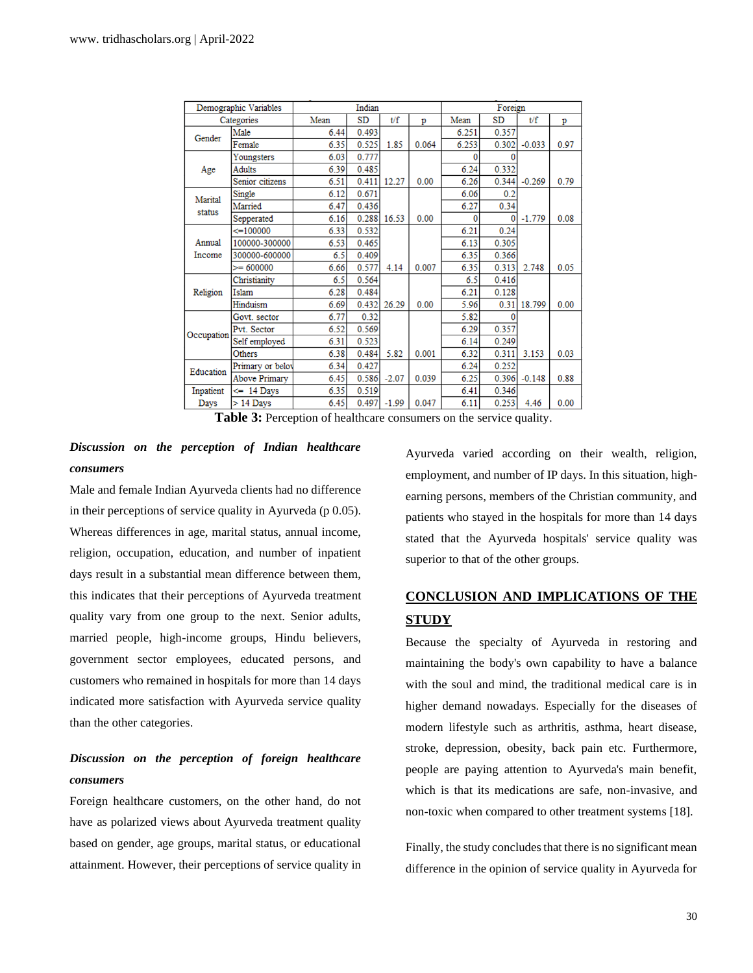| Demographic Variables |                  | Indian |           |         |       | Foreign |       |          |      |
|-----------------------|------------------|--------|-----------|---------|-------|---------|-------|----------|------|
|                       | Categories       |        | <b>SD</b> | t/f     | p     | Mean    | SD    | t/f      | p    |
| Gender                | Male             | 6.44   | 0.493     |         |       | 6.251   | 0.357 |          |      |
|                       | Female           | 6.35   | 0.525     | 1.85    | 0.064 | 6.253   | 0.302 | $-0.033$ | 0.97 |
| Age                   | Youngsters       | 6.03   | 0.777     |         |       | n       |       |          |      |
|                       | <b>Adults</b>    | 6.39   | 0.485     |         |       | 6.24    | 0.332 |          |      |
|                       | Senior citizens  | 6.51   | 0.411     | 12.27   | 0.00  | 6.26    | 0.344 | $-0.269$ | 0.79 |
| Marital<br>status     | Single           | 6.12   | 0.671     |         |       | 6.06    | 0.2   |          |      |
|                       | Married          | 6.47   | 0.436     |         |       | 6.27    | 0.34  |          |      |
|                       | Sepperated       | 6.16   | 0.288     | 16.53   | 0.00  | 0       |       | $-1.779$ | 0.08 |
|                       | $\leq 100000$    | 6.33   | 0.532     |         |       | 6.21    | 0.24  |          |      |
| Annual<br>Income      | 100000-300000    | 6.53   | 0.465     |         |       | 6.13    | 0.305 |          |      |
|                       | 300000-600000    | 6.5    | 0.409     |         |       | 6.35    | 0.366 |          |      |
|                       | $= 600000$       | 6.66   | 0.577     | 4.14    | 0.007 | 6.35    | 0.313 | 2.748    | 0.05 |
|                       | Christianity     | 6.5    | 0.564     |         |       | 6.5     | 0.416 |          |      |
| Religion              | Islam            | 6.28   | 0.484     |         |       | 6.21    | 0.128 |          |      |
|                       | Hinduism         | 6.69   | 0.432     | 26.29   | 0.00  | 5.96    | 0.31  | 18.799   | 0.00 |
| Occupation            | Govt. sector     | 6.77   | 0.32      |         |       | 5.82    |       |          |      |
|                       | Pvt. Sector      | 6.52   | 0.569     |         |       | 6.29    | 0.357 |          |      |
|                       | Self employed    | 6.31   | 0.523     |         |       | 6.14    | 0.249 |          |      |
|                       | Others           | 6.38   | 0.484     | 5.82    | 0.001 | 6.32    | 0.311 | 3.153    | 0.03 |
| Education             | Primary or belov | 6.34   | 0.427     |         |       | 6.24    | 0.252 |          |      |
|                       | Above Primary    | 6.45   | 0.586     | $-2.07$ | 0.039 | 6.25    | 0.396 | $-0.148$ | 0.88 |
| Inpatient             | $\leq$ 14 Days   | 6.35   | 0.519     |         |       | 6.41    | 0.346 |          |      |
| Days                  | $>$ 14 Days      | 6.45   | 0.497     | $-1.99$ | 0.047 | 6.11    | 0.253 | 4.46     | 0.00 |

**Table 3:** Perception of healthcare consumers on the service quality.

### *Discussion on the perception of Indian healthcare consumers*

Male and female Indian Ayurveda clients had no difference in their perceptions of service quality in Ayurveda (p 0.05). Whereas differences in age, marital status, annual income, religion, occupation, education, and number of inpatient days result in a substantial mean difference between them, this indicates that their perceptions of Ayurveda treatment quality vary from one group to the next. Senior adults, married people, high-income groups, Hindu believers, government sector employees, educated persons, and customers who remained in hospitals for more than 14 days indicated more satisfaction with Ayurveda service quality than the other categories.

### *Discussion on the perception of foreign healthcare consumers*

Foreign healthcare customers, on the other hand, do not have as polarized views about Ayurveda treatment quality based on gender, age groups, marital status, or educational attainment. However, their perceptions of service quality in

Ayurveda varied according on their wealth, religion, employment, and number of IP days. In this situation, highearning persons, members of the Christian community, and patients who stayed in the hospitals for more than 14 days stated that the Ayurveda hospitals' service quality was superior to that of the other groups.

## **CONCLUSION AND IMPLICATIONS OF THE STUDY**

Because the specialty of Ayurveda in restoring and maintaining the body's own capability to have a balance with the soul and mind, the traditional medical care is in higher demand nowadays. Especially for the diseases of modern lifestyle such as arthritis, asthma, heart disease, stroke, depression, obesity, back pain etc. Furthermore, people are paying attention to Ayurveda's main benefit, which is that its medications are safe, non-invasive, and non-toxic when compared to other treatment systems [18].

Finally, the study concludes that there is no significant mean difference in the opinion of service quality in Ayurveda for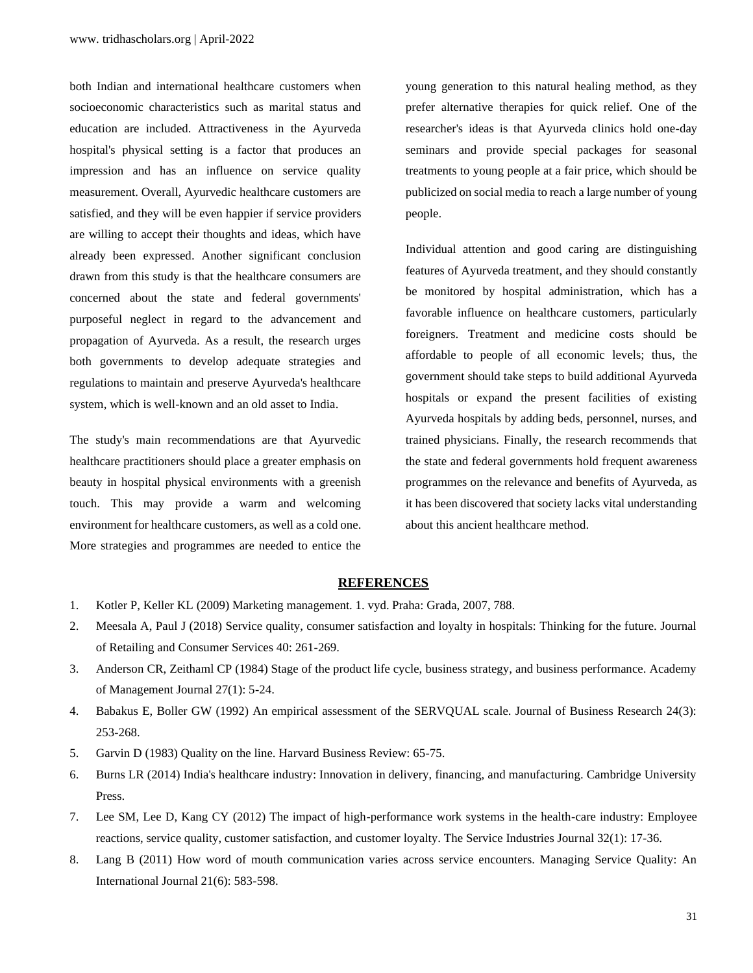both Indian and international healthcare customers when socioeconomic characteristics such as marital status and education are included. Attractiveness in the Ayurveda hospital's physical setting is a factor that produces an impression and has an influence on service quality measurement. Overall, Ayurvedic healthcare customers are satisfied, and they will be even happier if service providers are willing to accept their thoughts and ideas, which have already been expressed. Another significant conclusion drawn from this study is that the healthcare consumers are concerned about the state and federal governments' purposeful neglect in regard to the advancement and propagation of Ayurveda. As a result, the research urges both governments to develop adequate strategies and regulations to maintain and preserve Ayurveda's healthcare system, which is well-known and an old asset to India.

The study's main recommendations are that Ayurvedic healthcare practitioners should place a greater emphasis on beauty in hospital physical environments with a greenish touch. This may provide a warm and welcoming environment for healthcare customers, as well as a cold one. More strategies and programmes are needed to entice the

young generation to this natural healing method, as they prefer alternative therapies for quick relief. One of the researcher's ideas is that Ayurveda clinics hold one-day seminars and provide special packages for seasonal treatments to young people at a fair price, which should be publicized on social media to reach a large number of young people.

Individual attention and good caring are distinguishing features of Ayurveda treatment, and they should constantly be monitored by hospital administration, which has a favorable influence on healthcare customers, particularly foreigners. Treatment and medicine costs should be affordable to people of all economic levels; thus, the government should take steps to build additional Ayurveda hospitals or expand the present facilities of existing Ayurveda hospitals by adding beds, personnel, nurses, and trained physicians. Finally, the research recommends that the state and federal governments hold frequent awareness programmes on the relevance and benefits of Ayurveda, as it has been discovered that society lacks vital understanding about this ancient healthcare method.

#### **REFERENCES**

- 1. [Kotler P, Keller KL \(2009\) Marketing management. 1. vyd. Praha: Grada, 2007, 788.](https://is.muni.cz/publication/956122/en/Marketing-management/KOTLER-L-KELLER)
- 2. [Meesala A, Paul J \(2018\) Service quality, consumer satisfaction and loyalty in hospitals: Thinking for the future. Journal](https://www.sciencedirect.com/science/article/pii/S0969698916305057)  [of Retailing and Consumer Services 40: 261-269.](https://www.sciencedirect.com/science/article/pii/S0969698916305057)
- 3. [Anderson CR, Zeithaml CP \(1984\) Stage of the product life cycle, business strategy, and business performance. Academy](https://journals.aom.org/doi/abs/10.5465/255954)  [of Management Journal 27\(1\): 5-24.](https://journals.aom.org/doi/abs/10.5465/255954)
- 4. [Babakus E, Boller GW \(1992\) An empirical assessment of the SERVQUAL scale. Journal of Business Research 24\(3\):](https://www.sciencedirect.com/science/article/pii/0148296392900224)  [253-268.](https://www.sciencedirect.com/science/article/pii/0148296392900224)
- 5. [Garvin D \(1983\) Quality on the line. Harvard Business Review: 65-75.](https://ci.nii.ac.jp/naid/10026459836/)
- 6. [Burns LR \(2014\) India's healthcare industry: Innovation in delivery, financing, and manufacturing. Cambridge University](https://repository.upenn.edu/hcmg_papers/148/)  [Press.](https://repository.upenn.edu/hcmg_papers/148/)
- 7. [Lee SM, Lee D, Kang CY \(2012\) The impact of high-performance work systems in the health-care industry: Employee](https://www.tandfonline.com/doi/abs/10.1080/02642069.2010.545397)  [reactions, service quality, customer satisfaction, and customer loyalty. The Service Industries Journal 32\(1\): 17-36.](https://www.tandfonline.com/doi/abs/10.1080/02642069.2010.545397)
- 8. [Lang B \(2011\) How word of mouth communication varies across service encounters. Managing Service Quality: An](https://www.emerald.com/insight/content/doi/10.1108/09604521111185592/full/html)  [International Journal 21\(6\): 583-598.](https://www.emerald.com/insight/content/doi/10.1108/09604521111185592/full/html)